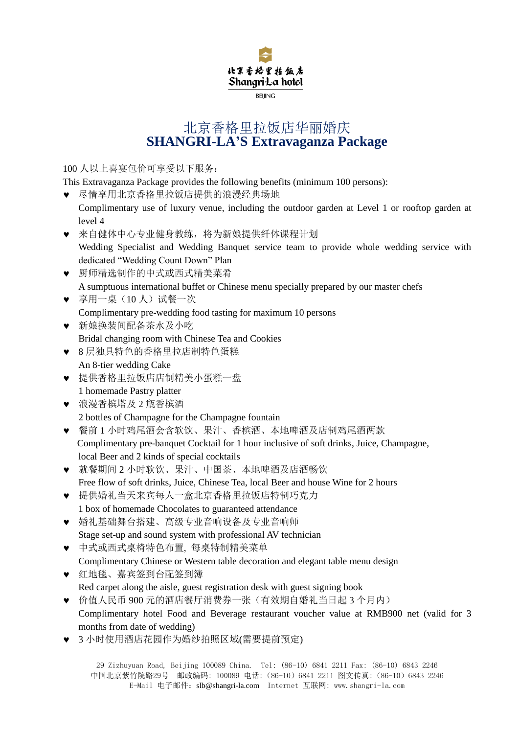

## 北京香格里拉饭店华丽婚庆 **SHANGRI-LA'S Extravaganza Package**

100 人以上喜宴包价可享受以下服务:

This Extravaganza Package provides the following benefits (minimum 100 persons):

尽情享用北京香格里拉饭店提供的浪漫经典场地

- Complimentary use of luxury venue, including the outdoor garden at Level 1 or rooftop garden at level 4
- 来自健体中心专业健身教练,将为新娘提供纤体课程计划 Wedding Specialist and Wedding Banquet service team to provide whole wedding service with dedicated "Wedding Count Down" Plan
- 厨师精选制作的中式或西式精美菜肴 A sumptuous international buffet or Chinese menu specially prepared by our master chefs
- 享用一桌(10 人)试餐一次 Complimentary pre-wedding food tasting for maximum 10 persons
- 新娘换装间配备茶水及小吃 Bridal changing room with Chinese Tea and Cookies
- 8 层独具特色的香格里拉店制特色蛋糕
- An 8-tier wedding Cake 提供香格里拉饭店店制精美小蛋糕一盘
- 1 homemade Pastry platter
- 浪漫香槟塔及 2 瓶香槟酒 2 bottles of Champagne for the Champagne fountain
- 餐前 1 小时鸡尾酒会含软饮、果汁、香槟酒、本地啤酒及店制鸡尾酒两款 Complimentary pre-banquet Cocktail for 1 hour inclusive of soft drinks, Juice, Champagne, local Beer and 2 kinds of special cocktails
- 就餐期间 2 小时软饮、果汁、中国茶、本地啤酒及店酒畅饮 Free flow of soft drinks, Juice, Chinese Tea, local Beer and house Wine for 2 hours
- 提供婚礼当天来宾每人一盒北京香格里拉饭店特制巧克力 1 box of homemade Chocolates to guaranteed attendance
- 婚礼基础舞台搭建、高级专业音响设备及专业音响师 Stage set-up and sound system with professional AV technician
- 中式或西式桌椅特色布置, 每桌特制精美菜单 Complimentary Chinese or Western table decoration and elegant table menu design
- 红地毯、嘉宾签到台配签到簿 Red carpet along the aisle, guest registration desk with guest signing book
- 价值人民币 900 元的酒店餐厅消费券一张(有效期自婚礼当日起 3 个月内) Complimentary hotel Food and Beverage restaurant voucher value at RMB900 net (valid for 3 months from date of wedding)
- 3 小时使用酒店花园作为婚纱拍照区域(需要提前预定)

29 Zizhuyuan Road, Beijing 100089 China. Tel: (86-10) 6841 2211 Fax: (86-10) 6843 2246 中国北京紫竹院路29号 邮政编码: 100089 电话:(86-10)6841 2211 图文传真:(86-10)6843 2246 E-Mail 电子邮件:[slb@shangri-la.com](mailto:slb@shangri-la.com) Internet 互联网: www.shangri-la.com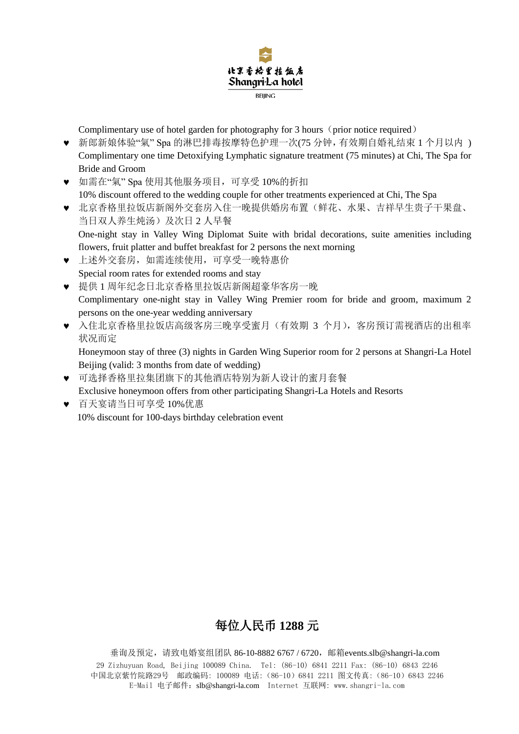

Complimentary use of hotel garden for photography for 3 hours (prior notice required)

- 新郎新娘体验"氣" Spa 的淋巴排毒按摩特色护理一次(75 分钟,有效期自婚礼结束 1 个月以内 ) Complimentary one time Detoxifying Lymphatic signature treatment (75 minutes) at Chi, The Spa for Bride and Groom
- 如需在"氣" Spa 使用其他服务项目,可享受 10%的折扣 10% discount offered to the wedding couple for other treatments experienced at Chi, The Spa
- 北京香格里拉饭店新阁外交套房入住一晚提供婚房布置(鲜花、水果、吉祥早生贵子干果盘、 当日双人养生炖汤)及次日 2 人早餐 One-night stay in Valley Wing Diplomat Suite with bridal decorations, suite amenities including
	- flowers, fruit platter and buffet breakfast for 2 persons the next morning
- 上述外交套房,如需连续使用,可享受一晚特惠价 Special room rates for extended rooms and stay
- 提供 1 周年纪念日北京香格里拉饭店新阁超豪华客房一晚 Complimentary one-night stay in Valley Wing Premier room for bride and groom, maximum 2 persons on the one-year wedding anniversary
- 入住北京香格里拉饭店高级客房三晚享受蜜月(有效期 3 个月),客房预订需视酒店的出租率 状况而定

Honeymoon stay of three (3) nights in Garden Wing Superior room for 2 persons at Shangri-La Hotel Beijing (valid: 3 months from date of wedding)

- 可选择香格里拉集团旗下的其他酒店特别为新人设计的蜜月套餐 Exclusive honeymoon offers from other participating Shangri-La Hotels and Resorts
- 百天宴请当日可享受 10%优惠 10% discount for 100-days birthday celebration event

# 每位人民币 **1288** 元

29 Zizhuyuan Road, Beijing 100089 China. Tel: (86-10) 6841 2211 Fax: (86-10) 6843 2246 中国北京紫竹院路29号 邮政编码: 100089 电话:(86-10)6841 2211 图文传真:(86-10)6843 2246 E-Mail 电子邮件:[slb@shangri-la.com](mailto:slb@shangri-la.com) Internet 互联网: www.shangri-la.com 垂询及预定,请致电婚宴组团队 86-10-8882 6767 / 6720,邮箱[events.slb@shangri-la.com](mailto:events.slb@shangri-la.com)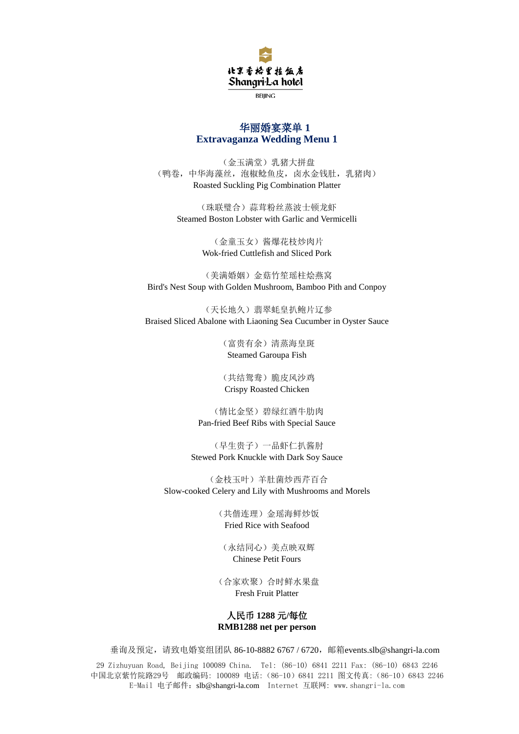

#### 华丽婚宴菜单 **1 Extravaganza Wedding Menu 1**

(金玉满堂)乳猪大拼盘 (鸭卷,中华海藻丝,泡椒鲶鱼皮,卤水金钱肚,乳猪肉) Roasted Suckling Pig Combination Platter

(珠联璧合)蒜茸粉丝蒸波士顿龙虾 Steamed Boston Lobster with Garlic and Vermicelli

> (金童玉女)酱爆花枝炒肉片 Wok-fried Cuttlefish and Sliced Pork

(美满婚姻)金菇竹笙瑶柱烩燕窝 Bird's Nest Soup with Golden Mushroom, Bamboo Pith and Conpoy

(天长地久)翡翠蚝皇扒鲍片辽参 Braised Sliced Abalone with Liaoning Sea Cucumber in Oyster Sauce

> (富贵有余)清蒸海皇斑 Steamed Garoupa Fish

> (共结鸳鸯)脆皮风沙鸡 Crispy Roasted Chicken

(情比金坚)碧绿红酒牛肋肉 Pan-fried Beef Ribs with Special Sauce

(早生贵子)一品虾仁扒酱肘 Stewed Pork Knuckle with Dark Soy Sauce

(金枝玉叶)羊肚菌炒西芹百合 Slow-cooked Celery and Lily with Mushrooms and Morels

> (共偕连理)金瑶海鲜炒饭 Fried Rice with Seafood

(永结同心)美点映双辉 Chinese Petit Fours

(合家欢聚)合时鲜水果盘 Fresh Fruit Platter

#### 人民币 **1288** 元**/**每位 **RMB1288 net per person**

垂询及预定,请致电婚宴组团队 86-10-8882 6767 / 6720,邮箱[events.slb@shangri-la.com](mailto:events.slb@shangri-la.com)

29 Zizhuyuan Road, Beijing 100089 China. Tel: (86-10) 6841 2211 Fax: (86-10) 6843 2246 中国北京紫竹院路29号 邮政编码: 100089 电话:(86-10)6841 2211 图文传真:(86-10)6843 2246 E-Mail 电子邮件:[slb@shangri-la.com](mailto:slb@shangri-la.com) Internet 互联网: www.shangri-la.com